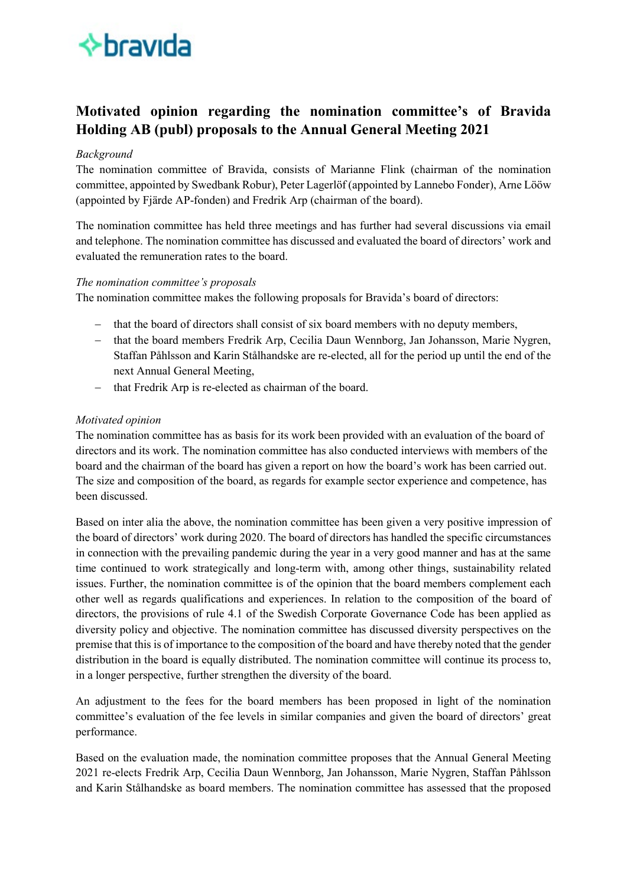# *<b>⊹bravida*

## **Motivated opinion regarding the nomination committee's of Bravida Holding AB (publ) proposals to the Annual General Meeting 2021**

### *Background*

The nomination committee of Bravida, consists of Marianne Flink (chairman of the nomination committee, appointed by Swedbank Robur), Peter Lagerlöf (appointed by Lannebo Fonder), Arne Lööw (appointed by Fjärde AP-fonden) and Fredrik Arp (chairman of the board).

The nomination committee has held three meetings and has further had several discussions via email and telephone. The nomination committee has discussed and evaluated the board of directors' work and evaluated the remuneration rates to the board.

#### *The nomination committee's proposals*

The nomination committee makes the following proposals for Bravida's board of directors:

- − that the board of directors shall consist of six board members with no deputy members,
- − that the board members Fredrik Arp, Cecilia Daun Wennborg, Jan Johansson, Marie Nygren, Staffan Påhlsson and Karin Stålhandske are re-elected, all for the period up until the end of the next Annual General Meeting,
- − that Fredrik Arp is re-elected as chairman of the board.

#### *Motivated opinion*

The nomination committee has as basis for its work been provided with an evaluation of the board of directors and its work. The nomination committee has also conducted interviews with members of the board and the chairman of the board has given a report on how the board's work has been carried out. The size and composition of the board, as regards for example sector experience and competence, has been discussed.

Based on inter alia the above, the nomination committee has been given a very positive impression of the board of directors' work during 2020. The board of directors has handled the specific circumstances in connection with the prevailing pandemic during the year in a very good manner and has at the same time continued to work strategically and long-term with, among other things, sustainability related issues. Further, the nomination committee is of the opinion that the board members complement each other well as regards qualifications and experiences. In relation to the composition of the board of directors, the provisions of rule 4.1 of the Swedish Corporate Governance Code has been applied as diversity policy and objective. The nomination committee has discussed diversity perspectives on the premise that this is of importance to the composition of the board and have thereby noted that the gender distribution in the board is equally distributed. The nomination committee will continue its process to, in a longer perspective, further strengthen the diversity of the board.

An adjustment to the fees for the board members has been proposed in light of the nomination committee's evaluation of the fee levels in similar companies and given the board of directors' great performance.

Based on the evaluation made, the nomination committee proposes that the Annual General Meeting 2021 re-elects Fredrik Arp, Cecilia Daun Wennborg, Jan Johansson, Marie Nygren, Staffan Påhlsson and Karin Stålhandske as board members. The nomination committee has assessed that the proposed